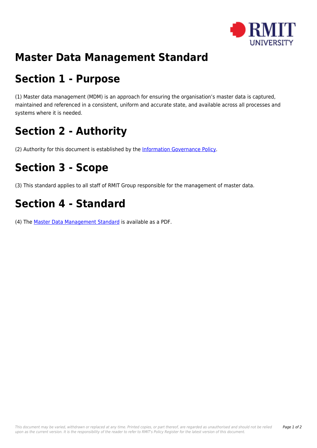

#### **Master Data Management Standard**

### **Section 1 - Purpose**

(1) Master data management (MDM) is an approach for ensuring the organisation's master data is captured, maintained and referenced in a consistent, uniform and accurate state, and available across all processes and systems where it is needed.

# **Section 2 - Authority**

(2) Authority for this document is established by the [Information Governance Policy.](https://policies.rmit.edu.au/document/view.php?id=53)

# **Section 3 - Scope**

(3) This standard applies to all staff of RMIT Group responsible for the management of master data.

## **Section 4 - Standard**

(4) The [Master Data Management Standard](https://policies.rmit.edu.au/download.php?id=220&version=3&associated) is available as a PDF.